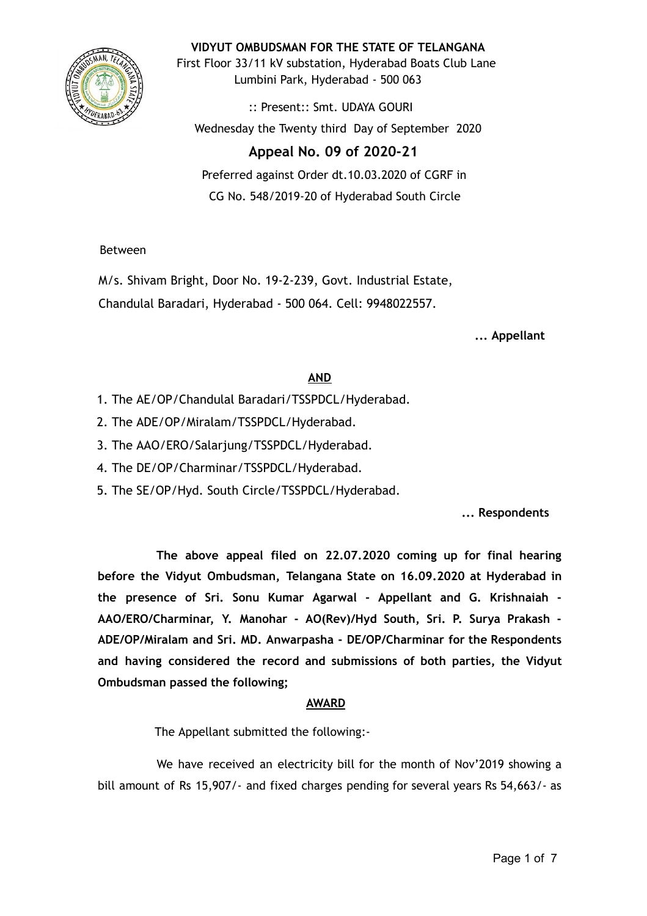

**VIDYUT OMBUDSMAN FOR THE STATE OF TELANGANA**

First Floor 33/11 kV substation, Hyderabad Boats Club Lane Lumbini Park, Hyderabad - 500 063

:: Present:: Smt. UDAYA GOURI Wednesday the Twenty third Day of September 2020

# **Appeal No. 09 of 2020-21**

Preferred against Order dt.10.03.2020 of CGRF in CG No. 548/2019-20 of Hyderabad South Circle

Between

M/s. Shivam Bright, Door No. 19-2-239, Govt. Industrial Estate, Chandulal Baradari, Hyderabad - 500 064. Cell: 9948022557.

**... Appellant**

# **AND**

- 1. The AE/OP/Chandulal Baradari/TSSPDCL/Hyderabad.
- 2. The ADE/OP/Miralam/TSSPDCL/Hyderabad.
- 3. The AAO/ERO/Salarjung/TSSPDCL/Hyderabad.
- 4. The DE/OP/Charminar/TSSPDCL/Hyderabad.
- 5. The SE/OP/Hyd. South Circle/TSSPDCL/Hyderabad.

**... Respondents**

**The above appeal filed on 22.07.2020 coming up for final hearing before the Vidyut Ombudsman, Telangana State on 16.09.2020 at Hyderabad in the presence of Sri. Sonu Kumar Agarwal - Appellant and G. Krishnaiah - AAO/ERO/Charminar, Y. Manohar - AO(Rev)/Hyd South, Sri. P. Surya Prakash - ADE/OP/Miralam and Sri. MD. Anwarpasha - DE/OP/Charminar for the Respondents and having considered the record and submissions of both parties, the Vidyut Ombudsman passed the following;**

# **AWARD**

The Appellant submitted the following:-

We have received an electricity bill for the month of Nov'2019 showing a bill amount of Rs 15,907/- and fixed charges pending for several years Rs 54,663/- as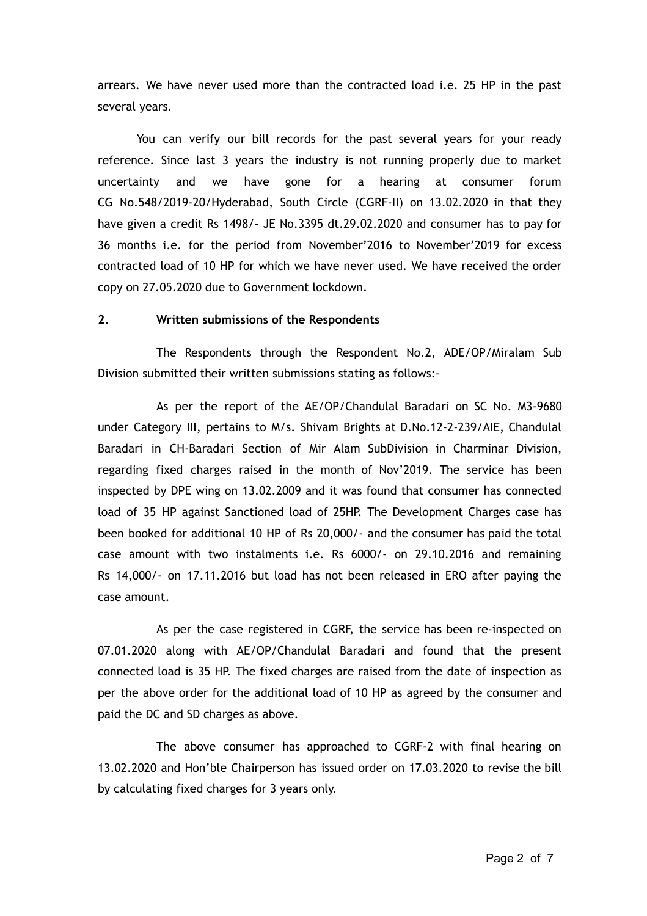arrears. We have never used more than the contracted load i.e. 25 HP in the past several years.

You can verify our bill records for the past several years for your ready reference. Since last 3 years the industry is not running properly due to market uncertainty and we have gone for a hearing at consumer forum CG No.548/2019-20/Hyderabad, South Circle (CGRF-II) on 13.02.2020 in that they have given a credit Rs 1498/- JE No.3395 dt.29.02.2020 and consumer has to pay for 36 months i.e. for the period from November'2016 to November'2019 for excess contracted load of 10 HP for which we have never used. We have received the order copy on 27.05.2020 due to Government lockdown.

#### **2. Written submissions of the Respondents**

The Respondents through the Respondent No.2, ADE/OP/Miralam Sub Division submitted their written submissions stating as follows:-

As per the report of the AE/OP/Chandulal Baradari on SC No. M3-9680 under Category III, pertains to M/s. Shivam Brights at D.No.12-2-239/AIE, Chandulal Baradari in CH-Baradari Section of Mir Alam SubDivision in Charminar Division, regarding fixed charges raised in the month of Nov'2019. The service has been inspected by DPE wing on 13.02.2009 and it was found that consumer has connected load of 35 HP against Sanctioned load of 25HP. The Development Charges case has been booked for additional 10 HP of Rs 20,000/- and the consumer has paid the total case amount with two instalments i.e. Rs 6000/- on 29.10.2016 and remaining Rs 14,000/- on 17.11.2016 but load has not been released in ERO after paying the case amount.

As per the case registered in CGRF, the service has been re-inspected on 07.01.2020 along with AE/OP/Chandulal Baradari and found that the present connected load is 35 HP. The fixed charges are raised from the date of inspection as per the above order for the additional load of 10 HP as agreed by the consumer and paid the DC and SD charges as above.

The above consumer has approached to CGRF-2 with final hearing on 13.02.2020 and Hon'ble Chairperson has issued order on 17.03.2020 to revise the bill by calculating fixed charges for 3 years only.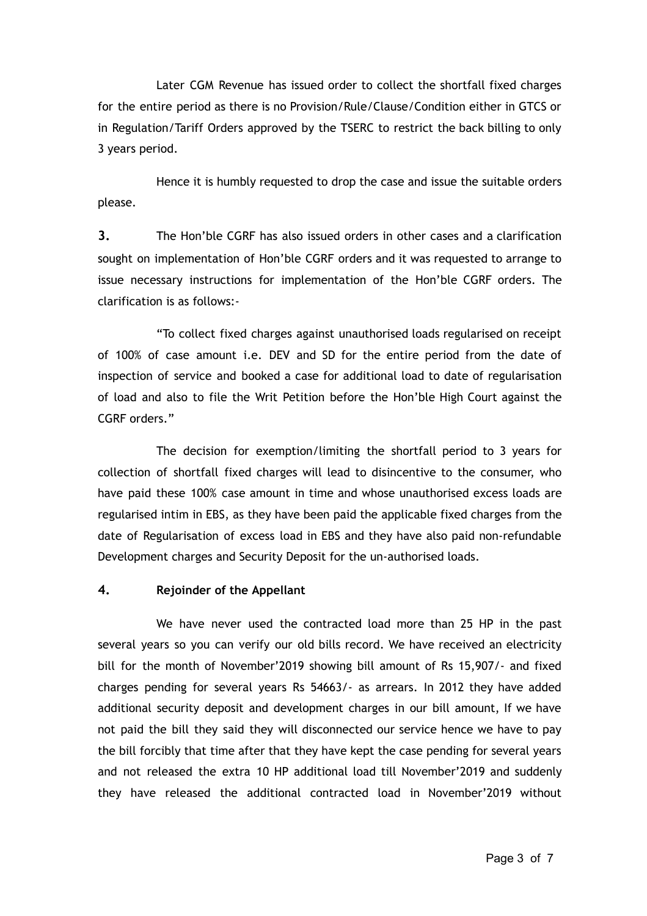Later CGM Revenue has issued order to collect the shortfall fixed charges for the entire period as there is no Provision/Rule/Clause/Condition either in GTCS or in Regulation/Tariff Orders approved by the TSERC to restrict the back billing to only 3 years period.

Hence it is humbly requested to drop the case and issue the suitable orders please.

**3.** The Hon'ble CGRF has also issued orders in other cases and a clarification sought on implementation of Hon'ble CGRF orders and it was requested to arrange to issue necessary instructions for implementation of the Hon'ble CGRF orders. The clarification is as follows:-

"To collect fixed charges against unauthorised loads regularised on receipt of 100% of case amount i.e. DEV and SD for the entire period from the date of inspection of service and booked a case for additional load to date of regularisation of load and also to file the Writ Petition before the Hon'ble High Court against the CGRF orders."

The decision for exemption/limiting the shortfall period to 3 years for collection of shortfall fixed charges will lead to disincentive to the consumer, who have paid these 100% case amount in time and whose unauthorised excess loads are regularised intim in EBS, as they have been paid the applicable fixed charges from the date of Regularisation of excess load in EBS and they have also paid non-refundable Development charges and Security Deposit for the un-authorised loads.

## **4. Rejoinder of the Appellant**

We have never used the contracted load more than 25 HP in the past several years so you can verify our old bills record. We have received an electricity bill for the month of November'2019 showing bill amount of Rs 15,907/- and fixed charges pending for several years Rs 54663/- as arrears. In 2012 they have added additional security deposit and development charges in our bill amount, If we have not paid the bill they said they will disconnected our service hence we have to pay the bill forcibly that time after that they have kept the case pending for several years and not released the extra 10 HP additional load till November'2019 and suddenly they have released the additional contracted load in November'2019 without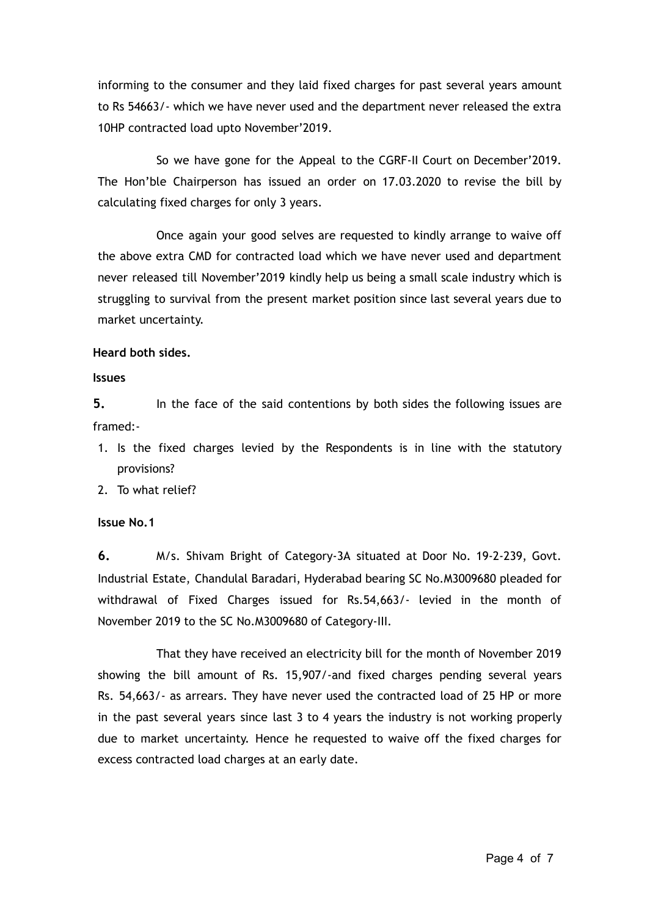informing to the consumer and they laid fixed charges for past several years amount to Rs 54663/- which we have never used and the department never released the extra 10HP contracted load upto November'2019.

So we have gone for the Appeal to the CGRF-II Court on December'2019. The Hon'ble Chairperson has issued an order on 17.03.2020 to revise the bill by calculating fixed charges for only 3 years.

Once again your good selves are requested to kindly arrange to waive off the above extra CMD for contracted load which we have never used and department never released till November'2019 kindly help us being a small scale industry which is struggling to survival from the present market position since last several years due to market uncertainty.

### **Heard both sides.**

#### **Issues**

**5.** In the face of the said contentions by both sides the following issues are framed:-

- 1. Is the fixed charges levied by the Respondents is in line with the statutory provisions?
- 2. To what relief?

### **Issue No.1**

**6.** M/s. Shivam Bright of Category-3A situated at Door No. 19-2-239, Govt. Industrial Estate, Chandulal Baradari, Hyderabad bearing SC No.M3009680 pleaded for withdrawal of Fixed Charges issued for Rs.54,663/- levied in the month of November 2019 to the SC No.M3009680 of Category-III.

That they have received an electricity bill for the month of November 2019 showing the bill amount of Rs. 15,907/-and fixed charges pending several years Rs. 54,663/- as arrears. They have never used the contracted load of 25 HP or more in the past several years since last 3 to 4 years the industry is not working properly due to market uncertainty. Hence he requested to waive off the fixed charges for excess contracted load charges at an early date.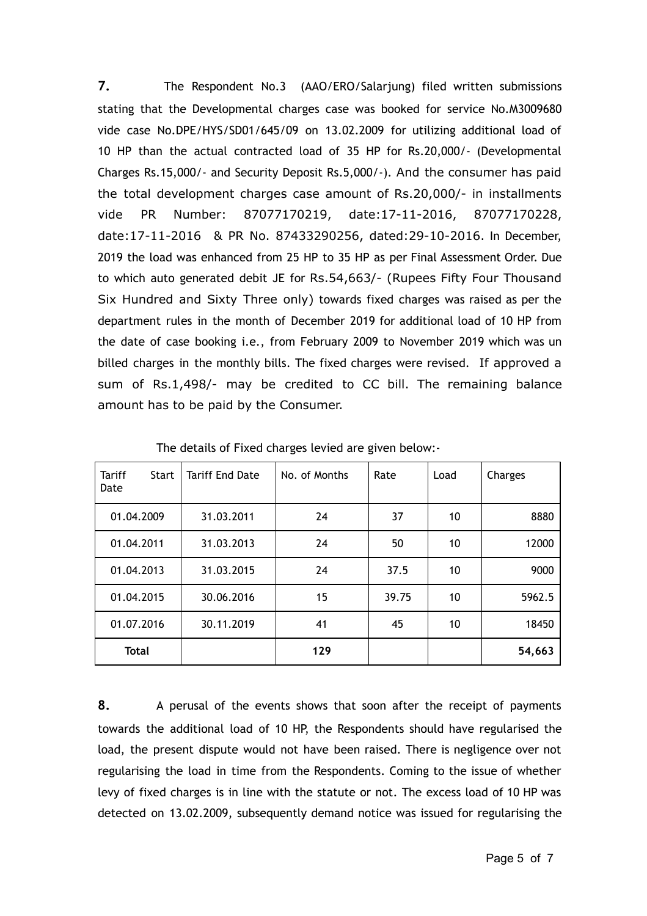**7.** The Respondent No.3 (AAO/ERO/Salarjung) filed written submissions stating that the Developmental charges case was booked for service No.M3009680 vide case No.DPE/HYS/SD01/645/09 on 13.02.2009 for utilizing additional load of 10 HP than the actual contracted load of 35 HP for Rs.20,000/- (Developmental Charges Rs.15,000/- and Security Deposit Rs.5,000/-). And the consumer has paid the total development charges case amount of Rs.20,000/- in installments vide PR Number: 87077170219, date:17-11-2016, 87077170228, date:17-11-2016 & PR No. 87433290256, dated:29-10-2016. In December, 2019 the load was enhanced from 25 HP to 35 HP as per Final Assessment Order. Due to which auto generated debit JE for Rs.54,663/- (Rupees Fifty Four Thousand Six Hundred and Sixty Three only) towards fixed charges was raised as per the department rules in the month of December 2019 for additional load of 10 HP from the date of case booking i.e., from February 2009 to November 2019 which was un billed charges in the monthly bills. The fixed charges were revised. If approved a sum of Rs.1,498/- may be credited to CC bill. The remaining balance amount has to be paid by the Consumer.

| <b>Tariff</b><br><b>Start</b><br>Date | <b>Tariff End Date</b> | No. of Months | Rate  | Load | Charges |
|---------------------------------------|------------------------|---------------|-------|------|---------|
| 01.04.2009                            | 31.03.2011             | 24            | 37    | 10   | 8880    |
| 01.04.2011                            | 31.03.2013             | 24            | 50    | 10   | 12000   |
| 01.04.2013                            | 31.03.2015             | 24            | 37.5  | 10   | 9000    |
| 01.04.2015                            | 30.06.2016             | 15            | 39.75 | 10   | 5962.5  |
| 01.07.2016                            | 30.11.2019             | 41            | 45    | 10   | 18450   |
| <b>Total</b>                          |                        | 129           |       |      | 54,663  |

The details of Fixed charges levied are given below:-

**8.** A perusal of the events shows that soon after the receipt of payments towards the additional load of 10 HP, the Respondents should have regularised the load, the present dispute would not have been raised. There is negligence over not regularising the load in time from the Respondents. Coming to the issue of whether levy of fixed charges is in line with the statute or not. The excess load of 10 HP was detected on 13.02.2009, subsequently demand notice was issued for regularising the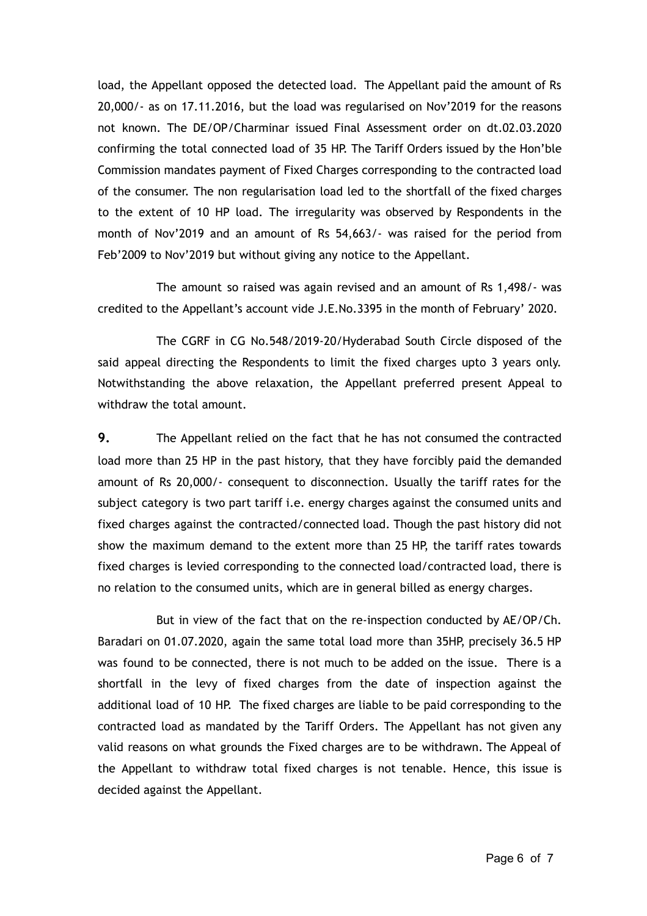load, the Appellant opposed the detected load. The Appellant paid the amount of Rs 20,000/- as on 17.11.2016, but the load was regularised on Nov'2019 for the reasons not known. The DE/OP/Charminar issued Final Assessment order on dt.02.03.2020 confirming the total connected load of 35 HP. The Tariff Orders issued by the Hon'ble Commission mandates payment of Fixed Charges corresponding to the contracted load of the consumer. The non regularisation load led to the shortfall of the fixed charges to the extent of 10 HP load. The irregularity was observed by Respondents in the month of Nov'2019 and an amount of Rs 54,663/- was raised for the period from Feb'2009 to Nov'2019 but without giving any notice to the Appellant.

The amount so raised was again revised and an amount of Rs 1,498/- was credited to the Appellant's account vide J.E.No.3395 in the month of February' 2020.

The CGRF in CG No.548/2019-20/Hyderabad South Circle disposed of the said appeal directing the Respondents to limit the fixed charges upto 3 years only. Notwithstanding the above relaxation, the Appellant preferred present Appeal to withdraw the total amount.

**9.** The Appellant relied on the fact that he has not consumed the contracted load more than 25 HP in the past history, that they have forcibly paid the demanded amount of Rs 20,000/- consequent to disconnection. Usually the tariff rates for the subject category is two part tariff i.e. energy charges against the consumed units and fixed charges against the contracted/connected load. Though the past history did not show the maximum demand to the extent more than 25 HP, the tariff rates towards fixed charges is levied corresponding to the connected load/contracted load, there is no relation to the consumed units, which are in general billed as energy charges.

But in view of the fact that on the re-inspection conducted by AE/OP/Ch. Baradari on 01.07.2020, again the same total load more than 35HP, precisely 36.5 HP was found to be connected, there is not much to be added on the issue. There is a shortfall in the levy of fixed charges from the date of inspection against the additional load of 10 HP. The fixed charges are liable to be paid corresponding to the contracted load as mandated by the Tariff Orders. The Appellant has not given any valid reasons on what grounds the Fixed charges are to be withdrawn. The Appeal of the Appellant to withdraw total fixed charges is not tenable. Hence, this issue is decided against the Appellant.